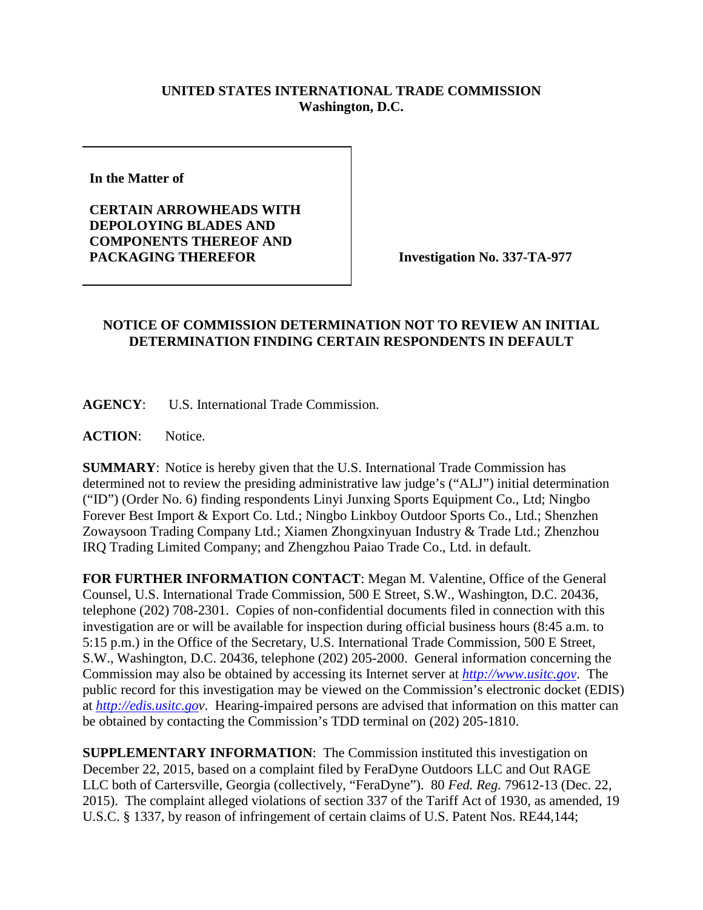## **UNITED STATES INTERNATIONAL TRADE COMMISSION Washington, D.C.**

**In the Matter of** 

**CERTAIN ARROWHEADS WITH DEPOLOYING BLADES AND COMPONENTS THEREOF AND**  PACKAGING THEREFOR **Investigation No. 337-TA-977** 

## **NOTICE OF COMMISSION DETERMINATION NOT TO REVIEW AN INITIAL DETERMINATION FINDING CERTAIN RESPONDENTS IN DEFAULT**

**AGENCY**: U.S. International Trade Commission.

**ACTION**: Notice.

**SUMMARY**: Notice is hereby given that the U.S. International Trade Commission has determined not to review the presiding administrative law judge's ("ALJ") initial determination ("ID") (Order No. 6) finding respondents Linyi Junxing Sports Equipment Co., Ltd; Ningbo Forever Best Import & Export Co. Ltd.; Ningbo Linkboy Outdoor Sports Co., Ltd.; Shenzhen Zowaysoon Trading Company Ltd.; Xiamen Zhongxinyuan Industry & Trade Ltd.; Zhenzhou IRQ Trading Limited Company; and Zhengzhou Paiao Trade Co., Ltd. in default.

**FOR FURTHER INFORMATION CONTACT**: Megan M. Valentine, Office of the General Counsel, U.S. International Trade Commission, 500 E Street, S.W., Washington, D.C. 20436, telephone (202) 708-2301. Copies of non-confidential documents filed in connection with this investigation are or will be available for inspection during official business hours (8:45 a.m. to 5:15 p.m.) in the Office of the Secretary, U.S. International Trade Commission, 500 E Street, S.W., Washington, D.C. 20436, telephone (202) 205-2000. General information concerning the Commission may also be obtained by accessing its Internet server at *[http://www.usitc.gov](http://www.usitc.gov/)*. The public record for this investigation may be viewed on the Commission's electronic docket (EDIS) at *[http://edis.usitc.gov](http://edis.usitc.go/)*. Hearing-impaired persons are advised that information on this matter can be obtained by contacting the Commission's TDD terminal on (202) 205-1810.

**SUPPLEMENTARY INFORMATION**: The Commission instituted this investigation on December 22, 2015, based on a complaint filed by FeraDyne Outdoors LLC and Out RAGE LLC both of Cartersville, Georgia (collectively, "FeraDyne"). 80 *Fed. Reg.* 79612-13 (Dec. 22, 2015). The complaint alleged violations of section 337 of the Tariff Act of 1930, as amended, 19 U.S.C. § 1337, by reason of infringement of certain claims of U.S. Patent Nos. RE44,144;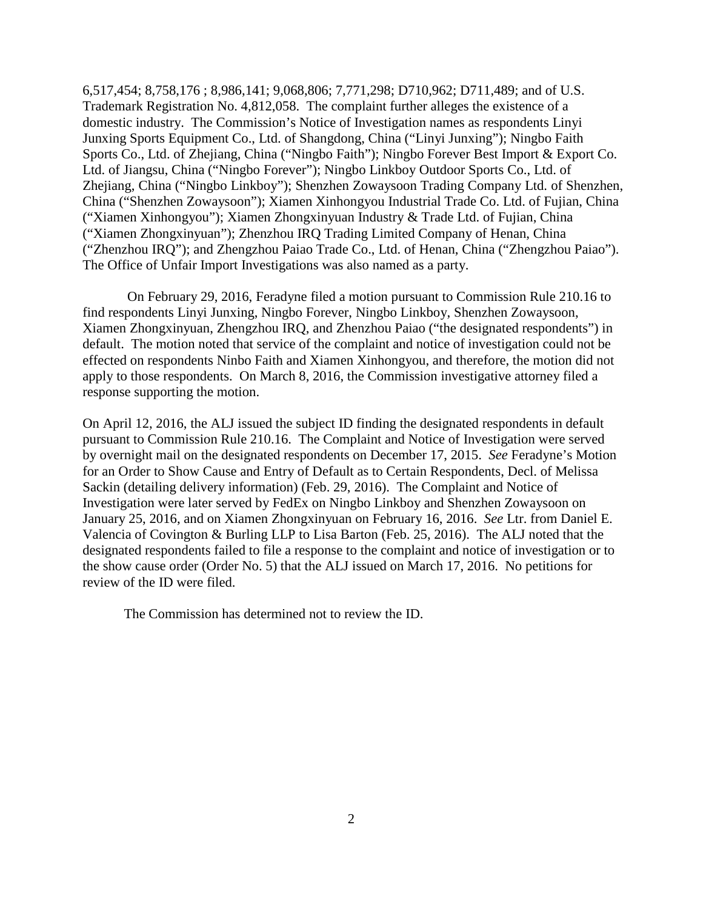6,517,454; 8,758,176 ; 8,986,141; 9,068,806; 7,771,298; D710,962; D711,489; and of U.S. Trademark Registration No. 4,812,058. The complaint further alleges the existence of a domestic industry. The Commission's Notice of Investigation names as respondents Linyi Junxing Sports Equipment Co., Ltd. of Shangdong, China ("Linyi Junxing"); Ningbo Faith Sports Co., Ltd. of Zhejiang, China ("Ningbo Faith"); Ningbo Forever Best Import & Export Co. Ltd. of Jiangsu, China ("Ningbo Forever"); Ningbo Linkboy Outdoor Sports Co., Ltd. of Zhejiang, China ("Ningbo Linkboy"); Shenzhen Zowaysoon Trading Company Ltd. of Shenzhen, China ("Shenzhen Zowaysoon"); Xiamen Xinhongyou Industrial Trade Co. Ltd. of Fujian, China ("Xiamen Xinhongyou"); Xiamen Zhongxinyuan Industry & Trade Ltd. of Fujian, China ("Xiamen Zhongxinyuan"); Zhenzhou IRQ Trading Limited Company of Henan, China ("Zhenzhou IRQ"); and Zhengzhou Paiao Trade Co., Ltd. of Henan, China ("Zhengzhou Paiao"). The Office of Unfair Import Investigations was also named as a party.

On February 29, 2016, Feradyne filed a motion pursuant to Commission Rule 210.16 to find respondents Linyi Junxing, Ningbo Forever, Ningbo Linkboy, Shenzhen Zowaysoon, Xiamen Zhongxinyuan, Zhengzhou IRQ, and Zhenzhou Paiao ("the designated respondents") in default. The motion noted that service of the complaint and notice of investigation could not be effected on respondents Ninbo Faith and Xiamen Xinhongyou, and therefore, the motion did not apply to those respondents. On March 8, 2016, the Commission investigative attorney filed a response supporting the motion.

On April 12, 2016, the ALJ issued the subject ID finding the designated respondents in default pursuant to Commission Rule 210.16. The Complaint and Notice of Investigation were served by overnight mail on the designated respondents on December 17, 2015. *See* Feradyne's Motion for an Order to Show Cause and Entry of Default as to Certain Respondents, Decl. of Melissa Sackin (detailing delivery information) (Feb. 29, 2016). The Complaint and Notice of Investigation were later served by FedEx on Ningbo Linkboy and Shenzhen Zowaysoon on January 25, 2016, and on Xiamen Zhongxinyuan on February 16, 2016. *See* Ltr. from Daniel E. Valencia of Covington & Burling LLP to Lisa Barton (Feb. 25, 2016). The ALJ noted that the designated respondents failed to file a response to the complaint and notice of investigation or to the show cause order (Order No. 5) that the ALJ issued on March 17, 2016. No petitions for review of the ID were filed.

The Commission has determined not to review the ID.